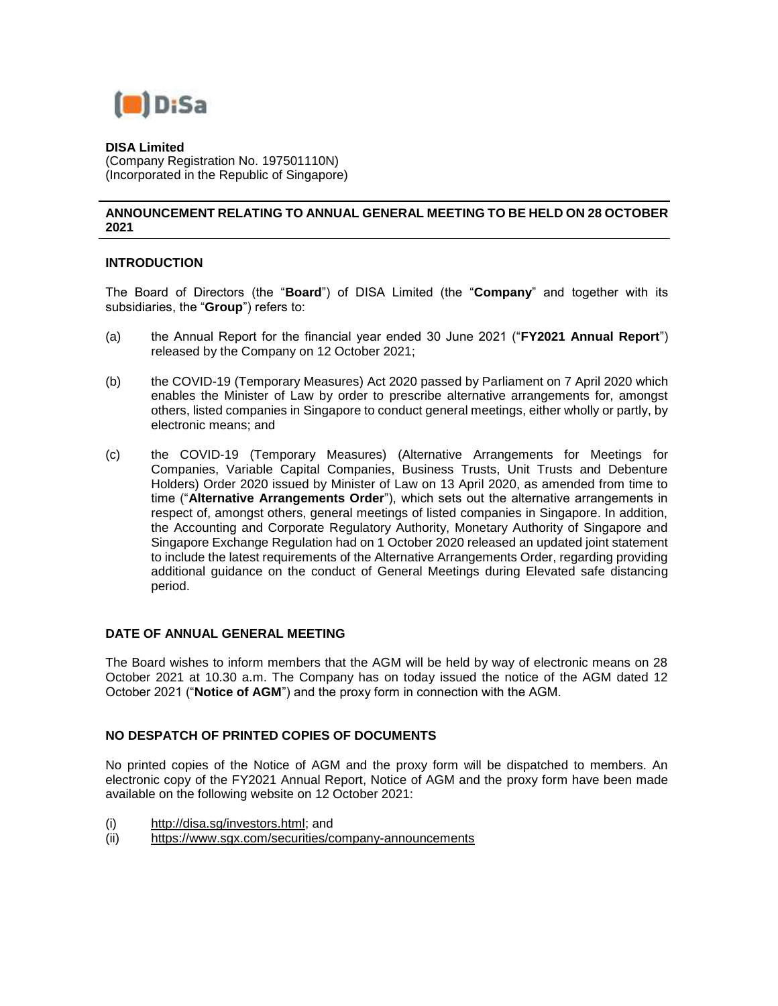

**DISA Limited** (Company Registration No. 197501110N)

# (Incorporated in the Republic of Singapore)

## **ANNOUNCEMENT RELATING TO ANNUAL GENERAL MEETING TO BE HELD ON 28 OCTOBER 2021**

### **INTRODUCTION**

The Board of Directors (the "**Board**") of DISA Limited (the "**Company**" and together with its subsidiaries, the "**Group**") refers to:

- (a) the Annual Report for the financial year ended 30 June 2021 ("**FY2021 Annual Report**") released by the Company on 12 October 2021;
- (b) the COVID-19 (Temporary Measures) Act 2020 passed by Parliament on 7 April 2020 which enables the Minister of Law by order to prescribe alternative arrangements for, amongst others, listed companies in Singapore to conduct general meetings, either wholly or partly, by electronic means; and
- (c) the COVID-19 (Temporary Measures) (Alternative Arrangements for Meetings for Companies, Variable Capital Companies, Business Trusts, Unit Trusts and Debenture Holders) Order 2020 issued by Minister of Law on 13 April 2020, as amended from time to time ("**Alternative Arrangements Order**"), which sets out the alternative arrangements in respect of, amongst others, general meetings of listed companies in Singapore. In addition, the Accounting and Corporate Regulatory Authority, Monetary Authority of Singapore and Singapore Exchange Regulation had on 1 October 2020 released an updated joint statement to include the latest requirements of the Alternative Arrangements Order, regarding providing additional guidance on the conduct of General Meetings during Elevated safe distancing period.

#### **DATE OF ANNUAL GENERAL MEETING**

The Board wishes to inform members that the AGM will be held by way of electronic means on 28 October 2021 at 10.30 a.m. The Company has on today issued the notice of the AGM dated 12 October 2021 ("**Notice of AGM**") and the proxy form in connection with the AGM.

#### **NO DESPATCH OF PRINTED COPIES OF DOCUMENTS**

No printed copies of the Notice of AGM and the proxy form will be dispatched to members. An electronic copy of the FY2021 Annual Report, Notice of AGM and the proxy form have been made available on the following website on 12 October 2021:

- (i) [http://disa.sg/investors.html;](http://disa.sg/investors.html) and
- (ii) <https://www.sgx.com/securities/company-announcements>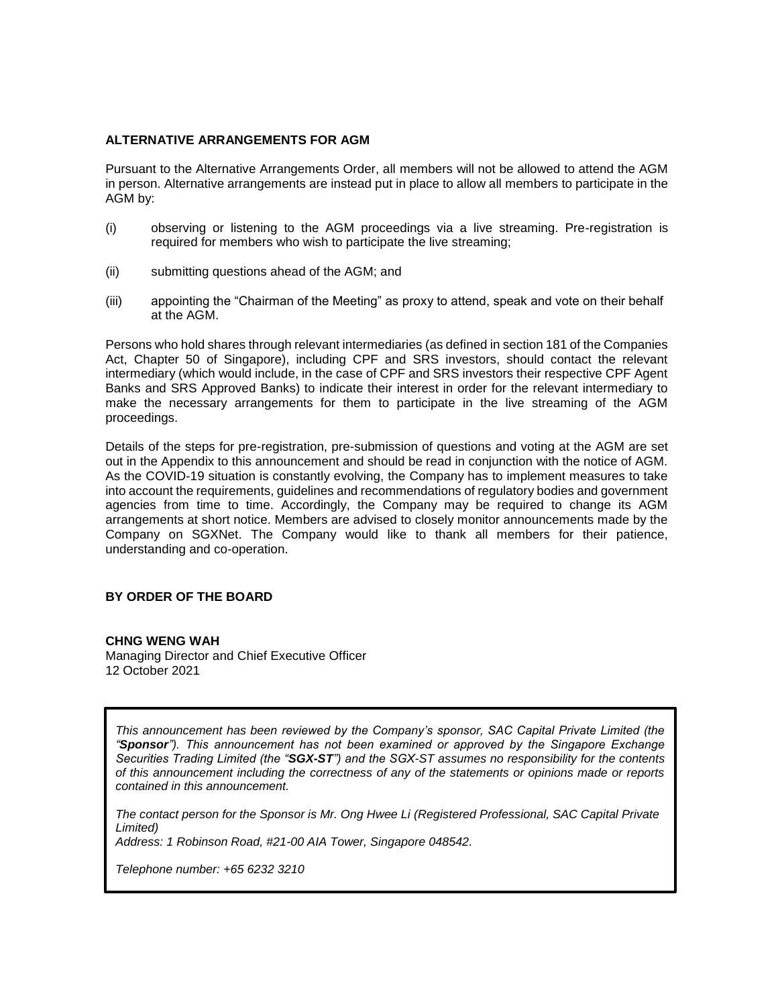### **ALTERNATIVE ARRANGEMENTS FOR AGM**

Pursuant to the Alternative Arrangements Order, all members will not be allowed to attend the AGM in person. Alternative arrangements are instead put in place to allow all members to participate in the AGM by:

- (i) observing or listening to the AGM proceedings via a live streaming. Pre-registration is required for members who wish to participate the live streaming;
- (ii) submitting questions ahead of the AGM; and
- (iii) appointing the "Chairman of the Meeting" as proxy to attend, speak and vote on their behalf at the AGM.

Persons who hold shares through relevant intermediaries (as defined in section 181 of the Companies Act, Chapter 50 of Singapore), including CPF and SRS investors, should contact the relevant intermediary (which would include, in the case of CPF and SRS investors their respective CPF Agent Banks and SRS Approved Banks) to indicate their interest in order for the relevant intermediary to make the necessary arrangements for them to participate in the live streaming of the AGM proceedings.

Details of the steps for pre-registration, pre-submission of questions and voting at the AGM are set out in the Appendix to this announcement and should be read in conjunction with the notice of AGM. As the COVID-19 situation is constantly evolving, the Company has to implement measures to take into account the requirements, guidelines and recommendations of regulatory bodies and government agencies from time to time. Accordingly, the Company may be required to change its AGM arrangements at short notice. Members are advised to closely monitor announcements made by the Company on SGXNet. The Company would like to thank all members for their patience, understanding and co-operation.

# **BY ORDER OF THE BOARD**

#### **CHNG WENG WAH**

Managing Director and Chief Executive Officer 12 October 2021

*This announcement has been reviewed by the Company's sponsor, SAC Capital Private Limited (the "Sponsor"). This announcement has not been examined or approved by the Singapore Exchange Securities Trading Limited (the "SGX-ST") and the SGX-ST assumes no responsibility for the contents of this announcement including the correctness of any of the statements or opinions made or reports contained in this announcement.* 

*The contact person for the Sponsor is Mr. Ong Hwee Li (Registered Professional, SAC Capital Private Limited)* 

*Address: 1 Robinson Road, #21-00 AIA Tower, Singapore 048542.* 

*Telephone number: +65 6232 3210*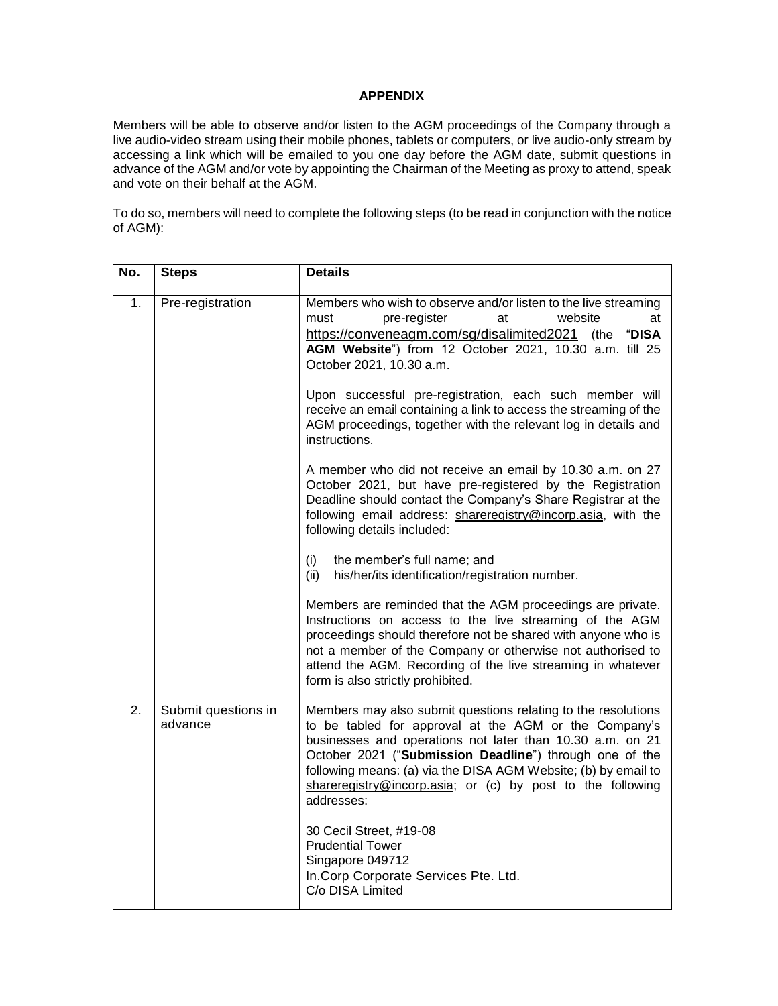#### **APPENDIX**

Members will be able to observe and/or listen to the AGM proceedings of the Company through a live audio-video stream using their mobile phones, tablets or computers, or live audio-only stream by accessing a link which will be emailed to you one day before the AGM date, submit questions in advance of the AGM and/or vote by appointing the Chairman of the Meeting as proxy to attend, speak and vote on their behalf at the AGM.

To do so, members will need to complete the following steps (to be read in conjunction with the notice of AGM):

| No. | <b>Steps</b>                   | <b>Details</b>                                                                                                                                                                                                                                                                                                                                                                               |
|-----|--------------------------------|----------------------------------------------------------------------------------------------------------------------------------------------------------------------------------------------------------------------------------------------------------------------------------------------------------------------------------------------------------------------------------------------|
| 1.  | Pre-registration               | Members who wish to observe and/or listen to the live streaming<br>pre-register<br>website<br>must<br>at<br>at<br>https://conveneagm.com/sg/disalimited2021 (the "DISA<br>AGM Website") from 12 October 2021, 10.30 a.m. till 25<br>October 2021, 10.30 a.m.                                                                                                                                 |
|     |                                | Upon successful pre-registration, each such member will<br>receive an email containing a link to access the streaming of the<br>AGM proceedings, together with the relevant log in details and<br>instructions.                                                                                                                                                                              |
|     |                                | A member who did not receive an email by 10.30 a.m. on 27<br>October 2021, but have pre-registered by the Registration<br>Deadline should contact the Company's Share Registrar at the<br>following email address: shareregistry@incorp.asia, with the<br>following details included:                                                                                                        |
|     |                                | the member's full name; and<br>(i)<br>his/her/its identification/registration number.<br>(ii)                                                                                                                                                                                                                                                                                                |
|     |                                | Members are reminded that the AGM proceedings are private.<br>Instructions on access to the live streaming of the AGM<br>proceedings should therefore not be shared with anyone who is<br>not a member of the Company or otherwise not authorised to<br>attend the AGM. Recording of the live streaming in whatever<br>form is also strictly prohibited.                                     |
| 2.  | Submit questions in<br>advance | Members may also submit questions relating to the resolutions<br>to be tabled for approval at the AGM or the Company's<br>businesses and operations not later than 10.30 a.m. on 21<br>October 2021 ("Submission Deadline") through one of the<br>following means: (a) via the DISA AGM Website; (b) by email to<br>shareregistry@incorp.asia; or (c) by post to the following<br>addresses: |
|     |                                | 30 Cecil Street, #19-08<br><b>Prudential Tower</b><br>Singapore 049712<br>In.Corp Corporate Services Pte. Ltd.<br>C/o DISA Limited                                                                                                                                                                                                                                                           |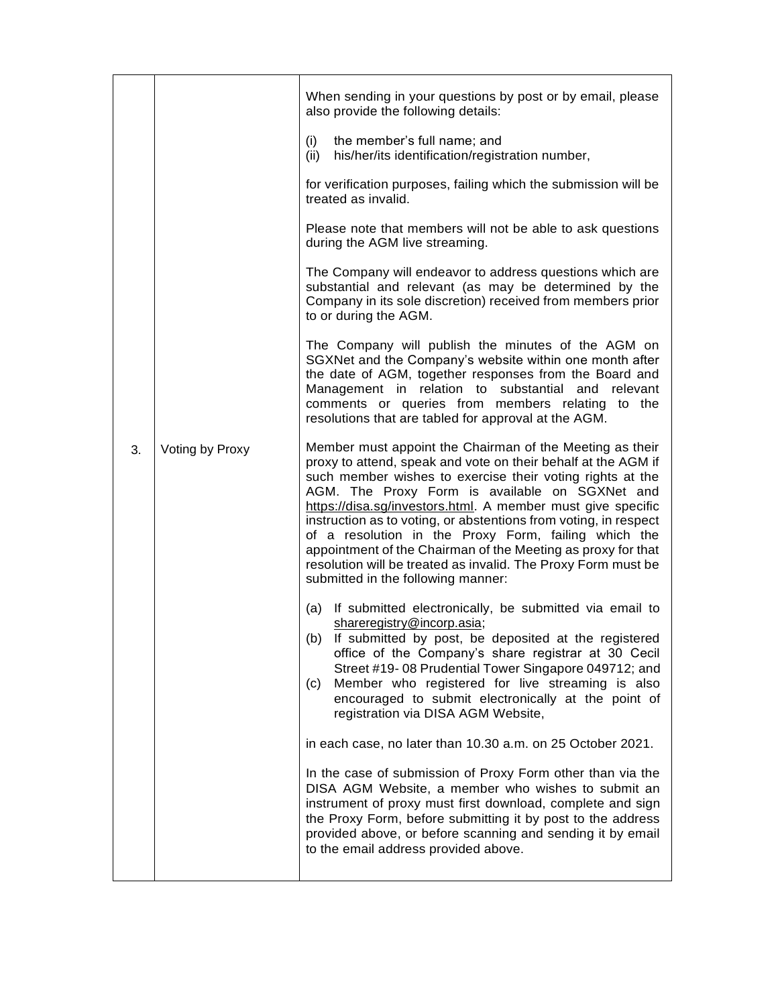|    |                 | When sending in your questions by post or by email, please<br>also provide the following details:                                                                                                                                                                                                                                                                                                                                                                                                                                                                                                          |
|----|-----------------|------------------------------------------------------------------------------------------------------------------------------------------------------------------------------------------------------------------------------------------------------------------------------------------------------------------------------------------------------------------------------------------------------------------------------------------------------------------------------------------------------------------------------------------------------------------------------------------------------------|
|    |                 | (i)<br>the member's full name; and<br>his/her/its identification/registration number,<br>(ii)                                                                                                                                                                                                                                                                                                                                                                                                                                                                                                              |
|    |                 | for verification purposes, failing which the submission will be<br>treated as invalid.                                                                                                                                                                                                                                                                                                                                                                                                                                                                                                                     |
|    |                 | Please note that members will not be able to ask questions<br>during the AGM live streaming.                                                                                                                                                                                                                                                                                                                                                                                                                                                                                                               |
|    |                 | The Company will endeavor to address questions which are<br>substantial and relevant (as may be determined by the<br>Company in its sole discretion) received from members prior<br>to or during the AGM.                                                                                                                                                                                                                                                                                                                                                                                                  |
|    |                 | The Company will publish the minutes of the AGM on<br>SGXNet and the Company's website within one month after<br>the date of AGM, together responses from the Board and<br>Management in relation to substantial and relevant<br>comments or queries from members relating to the<br>resolutions that are tabled for approval at the AGM.                                                                                                                                                                                                                                                                  |
| 3. | Voting by Proxy | Member must appoint the Chairman of the Meeting as their<br>proxy to attend, speak and vote on their behalf at the AGM if<br>such member wishes to exercise their voting rights at the<br>AGM. The Proxy Form is available on SGXNet and<br>https://disa.sg/investors.html. A member must give specific<br>instruction as to voting, or abstentions from voting, in respect<br>of a resolution in the Proxy Form, failing which the<br>appointment of the Chairman of the Meeting as proxy for that<br>resolution will be treated as invalid. The Proxy Form must be<br>submitted in the following manner: |
|    |                 | (a) If submitted electronically, be submitted via email to<br>shareregistry@incorp.asia;<br>If submitted by post, be deposited at the registered<br>(b)<br>office of the Company's share registrar at 30 Cecil<br>Street #19-08 Prudential Tower Singapore 049712; and<br>Member who registered for live streaming is also<br>(c)<br>encouraged to submit electronically at the point of<br>registration via DISA AGM Website,                                                                                                                                                                             |
|    |                 | in each case, no later than 10.30 a.m. on 25 October 2021.<br>In the case of submission of Proxy Form other than via the<br>DISA AGM Website, a member who wishes to submit an<br>instrument of proxy must first download, complete and sign<br>the Proxy Form, before submitting it by post to the address<br>provided above, or before scanning and sending it by email<br>to the email address provided above.                                                                                                                                                                                          |